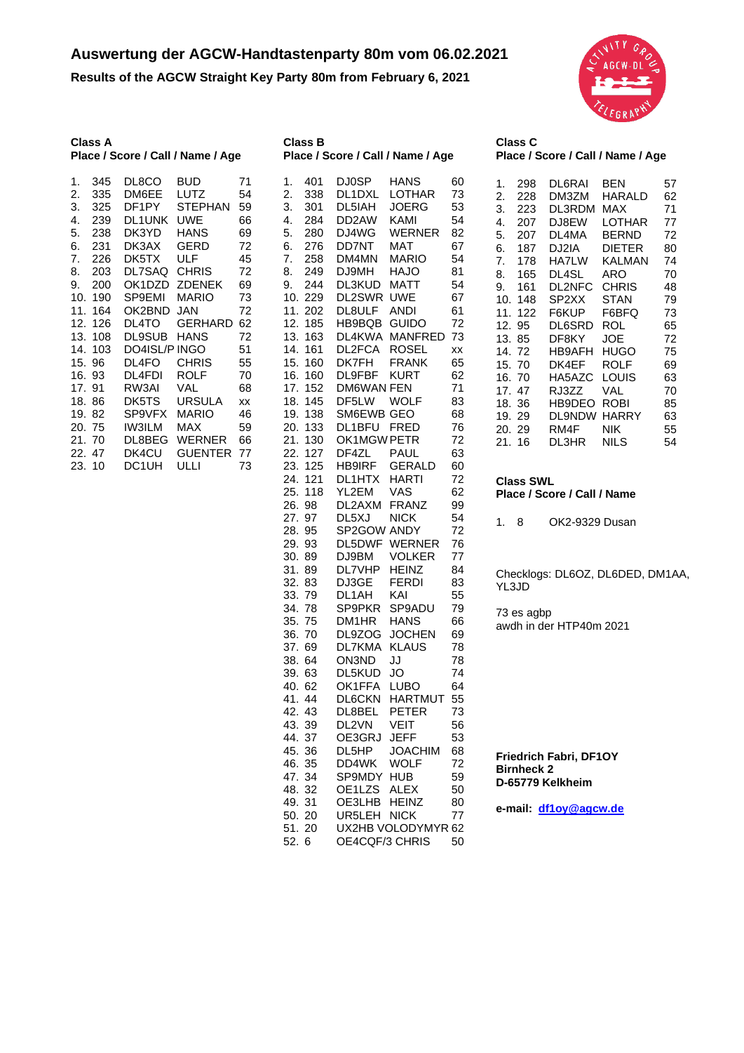## **Auswertung der AGCW-Handtastenparty 80m vom 06.02.2021**

**Results of the AGCW Straight Key Party 80m from February 6, 2021**



|     | Class A |               | Place / Score / Call / Name / Age |    |
|-----|---------|---------------|-----------------------------------|----|
| 1.  | 345     | DL8CO         | BUD.                              | 71 |
| 2.  | 335     | DM6EE         | LUTZ                              | 54 |
| 3.  | 325     | DF1PY         | STEPHAN                           | 59 |
| 4.  | 239     | <b>DL1UNK</b> | UWE                               | 66 |
| 5.  | 238     | DK3YD         | HANS                              | 69 |
| 6.  | 231     | DK3AX         | <b>GERD</b>                       | 72 |
| 7.  | 226     | DK5TX         | ULF                               | 45 |
| 8.  | 203     | DL7SAQ        | <b>CHRIS</b>                      | 72 |
| 9.  | 200     | OK1DZD        | <b>ZDENEK</b>                     | 69 |
| 10. | 190     | SP9EMI        | <b>MARIO</b>                      | 73 |
| 11. | 164     | OK2BND        | JAN                               | 72 |
| 12. | 126     | DL4TO         | GERHARD                           | 62 |
| 13. | 108     | <b>DL9SUB</b> | <b>HANS</b>                       | 72 |
| 14. | 103     | DO4ISL/P      | <b>INGO</b>                       | 51 |
| 15. | 96      | DL4FO         | <b>CHRIS</b>                      | 55 |
| 16. | 93      | DL4FDI        | ROLF                              | 70 |
| 17. | 91      | RW3AI         | VAL                               | 68 |
| 18. | 86      | DK5TS         | <b>URSULA</b>                     | XX |
| 19. | 82      | SP9VFX        | <b>MARIO</b>                      | 46 |
| 20. | 75      | <b>IW3ILM</b> | <b>MAX</b>                        | 59 |
| 21. | 70      | DL8BEG        | WERNER                            | 66 |
| 22. | 47      | DK4CU         | <b>GUENTER</b>                    | 77 |
| 23. | 10      | DC1UH         | ULLI                              | 73 |

| <b>Class B</b>                                                                                                                                                                                                                                                                                                                                                                                                                                                                                                                                                                                                                     |                                                                                                                                                                                                                                                                                                                                                                                                                                                                                           | Place / Score / Call / Name / Age                                                                                                                                                                                                                                                                                                                                                                                                                                                                                                                                                                                            |                                                                                                                                                                                                                                                                                  |
|------------------------------------------------------------------------------------------------------------------------------------------------------------------------------------------------------------------------------------------------------------------------------------------------------------------------------------------------------------------------------------------------------------------------------------------------------------------------------------------------------------------------------------------------------------------------------------------------------------------------------------|-------------------------------------------------------------------------------------------------------------------------------------------------------------------------------------------------------------------------------------------------------------------------------------------------------------------------------------------------------------------------------------------------------------------------------------------------------------------------------------------|------------------------------------------------------------------------------------------------------------------------------------------------------------------------------------------------------------------------------------------------------------------------------------------------------------------------------------------------------------------------------------------------------------------------------------------------------------------------------------------------------------------------------------------------------------------------------------------------------------------------------|----------------------------------------------------------------------------------------------------------------------------------------------------------------------------------------------------------------------------------------------------------------------------------|
| 1.<br>401<br>2.<br>338<br>301<br>3.<br>4.<br>284<br>280<br>5.<br>6.<br>276<br>7.<br>258<br>8.<br>249<br>9.<br>244<br>10.<br>229<br>11.<br>202<br>185<br>12.<br>163<br>13.<br>14.<br>161<br>15.<br>160<br>160<br>16.<br>17.<br>152<br>18.<br>145<br>138<br>19.<br>133<br>20.<br>21.<br>130<br>22.<br>127<br>125<br>23.<br>24.<br>121<br>25.<br>118<br>26.<br>98<br>97<br>27.<br>95<br>28.<br>29.<br>93<br>30.<br>89<br>31.<br>89<br>83<br>32.<br>79<br>33.<br>34.<br>78<br>75<br>35.<br>70<br>36.<br>69<br>37.<br>38.<br>64<br>39.<br>63<br>40.<br>62<br>41.<br>44<br>42.<br>43<br>43.<br>39<br>44.<br>37<br>45.<br>36<br>35<br>46. | DJ0SP<br>DL1DXL<br>DL5IAH<br>DD <sub>2</sub> AW<br>DJ4WG<br>DD7NT<br>DM4MN<br>DJ9MH<br>DL3KUD<br>DL2SWR<br>DL8ULF<br>HB9BQB<br>DL4KWA<br>DL2FCA<br>DK7FH<br>DL9FBF<br><b>DM6WAN FEN</b><br>DF5LW<br>SM6EWB<br>DL1BFU<br>OK1MGW PETR<br>DF4ZL<br>HB9IRF<br>DL1HTX<br>YL2EM<br>DL2AXM<br>DL5XJ<br>SP2GOW<br>DL5DWF<br>DJ9BM<br>DL7VHP<br>DJ3GE<br>DL1AH<br>SP9PKR<br>DM1HR<br>DL9ZOG<br>DL7KMA<br><b>ON3ND</b><br>DL5KUD<br>OK1FFA<br>DL6CKN<br>DL8BEL<br>DL2VN<br>OE3GRJ<br>DL5HP<br>DD4WK | HANS<br>LOTHAR<br><b>JOERG</b><br>KAMI<br>WERNER<br><b>MAT</b><br><b>MARIO</b><br><b>HAJO</b><br><b>MATT</b><br><b>UWE</b><br><b>ANDI</b><br><b>GUIDO</b><br><b>MANFRED</b><br><b>ROSEL</b><br><b>FRANK</b><br><b>KURT</b><br><b>WOLF</b><br><b>GEO</b><br><b>FRED</b><br><b>PAUL</b><br><b>GERALD</b><br><b>HARTI</b><br>VAS<br><b>FRANZ</b><br><b>NICK</b><br><b>ANDY</b><br><b>WERNER</b><br><b>VOLKER</b><br><b>HEINZ</b><br><b>FERDI</b><br>KAI<br>SP9ADU<br><b>HANS</b><br><b>JOCHEN</b><br><b>KLAUS</b><br>JJ<br>JO<br>LUBO<br>HARTMUT<br><b>PETER</b><br><b>VEIT</b><br><b>JEFF</b><br><b>JOACHIM</b><br><b>WOLF</b> | 60<br>73<br>53<br>54<br>82<br>67<br>54<br>81<br>54<br>67<br>61<br>72<br>73<br>XX<br>65<br>62<br>71<br>83<br>68<br>76<br>72<br>63<br>60<br>72<br>62<br>99<br>54<br>72<br>76<br>77<br>84<br>83<br>55<br>79<br>66<br>69<br>78<br>78<br>74<br>64<br>55<br>73<br>56<br>53<br>68<br>72 |
| 47.<br>34<br>48.<br>32<br>49.<br>31<br>50.<br>20                                                                                                                                                                                                                                                                                                                                                                                                                                                                                                                                                                                   | SP9MDY<br>OE1LZS<br>OE3LHB<br>UR5LEH                                                                                                                                                                                                                                                                                                                                                                                                                                                      | <b>HUB</b><br><b>ALEX</b><br>HEINZ<br><b>NICK</b>                                                                                                                                                                                                                                                                                                                                                                                                                                                                                                                                                                            | 59<br>50<br>80<br>77                                                                                                                                                                                                                                                             |
| 51.<br>20<br>52.<br>6                                                                                                                                                                                                                                                                                                                                                                                                                                                                                                                                                                                                              | OE4CQF/3 CHRIS                                                                                                                                                                                                                                                                                                                                                                                                                                                                            | UX2HB VOLODYMYR 62                                                                                                                                                                                                                                                                                                                                                                                                                                                                                                                                                                                                           | 50                                                                                                                                                                                                                                                                               |

| Class C                           |  |
|-----------------------------------|--|
| Place / Score / Call / Name / Age |  |

| BEN<br>DL6RAI<br>57<br>1.<br>298<br>DM3ZM<br>2.<br>HARALD<br>62<br>228<br>3.<br>MAX<br>71<br>223<br>DL3RDM<br>4.<br>DJ8EW<br>LOTHAR<br>77<br>207<br>5.<br>DL4MA<br>BERND<br>72<br>207<br><b>DIETER</b><br>DJ2IA<br>6.<br>187<br>80<br>7.<br>KALMAN<br>HA7LW<br>74<br>178<br>DL4SL<br>ARO<br>165<br>70<br>8.<br>DL2NFC<br><b>CHRIS</b><br>161<br>48<br>9.<br>STAN<br>SP2XX<br>79<br>10.<br>148<br>F6KUP<br>F6BFQ<br>73<br>11.<br>122<br>DL6SRD<br><b>ROL</b><br>12.<br>95<br>65<br>DF8KY<br>JOE.<br>72<br>13.<br>85<br>HB9AFH<br>HUGO<br>75<br>14.<br>72<br>15.<br>DK4EF<br>ROLF<br>70<br>69<br>LOUIS<br>HA5AZC<br>63<br>16.<br>70<br>RJ3ZZ<br>VAL<br>17 <sub>1</sub><br>70<br>47<br>ROBI<br>18.<br>HB9DEO<br>85<br>36<br><b>DL9NDW</b><br>HARRY<br>63<br>19.<br>29<br>NIK<br>RM4F<br>55<br>20.<br>29<br>NILS<br>DL3HR.<br>54<br>21. 16 |
|----------------------------------------------------------------------------------------------------------------------------------------------------------------------------------------------------------------------------------------------------------------------------------------------------------------------------------------------------------------------------------------------------------------------------------------------------------------------------------------------------------------------------------------------------------------------------------------------------------------------------------------------------------------------------------------------------------------------------------------------------------------------------------------------------------------------------------------|
|----------------------------------------------------------------------------------------------------------------------------------------------------------------------------------------------------------------------------------------------------------------------------------------------------------------------------------------------------------------------------------------------------------------------------------------------------------------------------------------------------------------------------------------------------------------------------------------------------------------------------------------------------------------------------------------------------------------------------------------------------------------------------------------------------------------------------------------|

**Class SWL Place / Score / Call / Name**

1. 8 OK2-9329 Dusan

Checklogs: DL6OZ, DL6DED, DM1AA, YL3JD

73 es agbp awdh in der HTP40m 2021

**Friedrich Fabri, DF1OY Birnheck 2 D-65779 Kelkheim**

**e-mail: [df1oy@agcw.de](mailto:df1oy@agcw.de)**